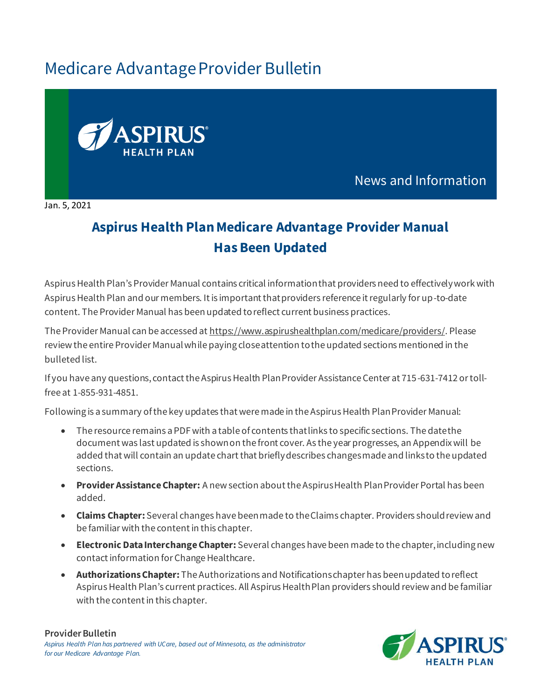## Medicare Advantage Provider Bulletin



News and Information

Jan. 5, 2021

## **Aspirus Health Plan Medicare Advantage Provider Manual Has Been Updated**

Aspirus Health Plan's Provider Manual contains critical information that providers need to effectively work with Aspirus Health Plan and our members. It is important that providers reference it regularly for up-to-date content. The Provider Manual has been updated to reflect current business practices.

The Provider Manual can be accessed a[t https://www.aspirushealthplan.com/medicare/providers/](https://www.aspirushealthplan.com/medicare/providers/). Please review the entire Provider Manual while paying close attention to the updated sections mentioned in the bulleted list.

If you have any questions, contact the Aspirus Health Plan Provider Assistance Center at 715-631-7412 or tollfree at 1-855-931-4851.

Following is a summary of the key updates that were made in the Aspirus Health Plan Provider Manual:

- The resource remains a PDF with a table of contents that links to specific sections. The date the document was last updated is shown on the front cover. As the year progresses, an Appendix will be added that will contain an update chart that briefly describes changes made and links to the updated sections.
- **Provider Assistance Chapter:** A new section about the Aspirus Health Plan Provider Portal has been added.
- **Claims Chapter:** Several changes have been made to the Claims chapter. Providers should review and be familiar with the content in this chapter.
- **Electronic Data Interchange Chapter:** Several changes have been made to the chapter, including new contact information for Change Healthcare.
- **Authorizations Chapter:** The Authorizations and Notifications chapter has been updated to reflect Aspirus Health Plan's current practices. All Aspirus Health Plan providers should review and be familiar with the content in this chapter.